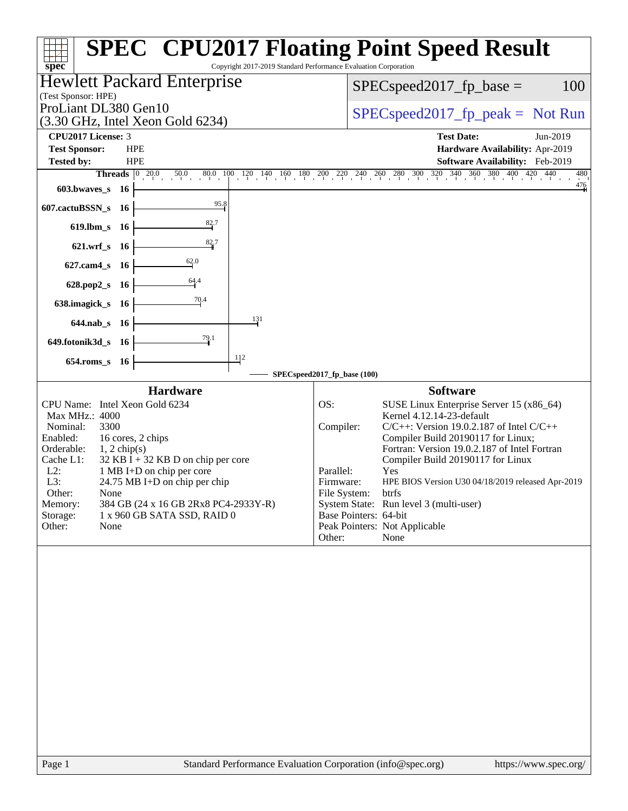|                                                                   |                                                                 | <b>SPEC<sup>®</sup> CPU2017 Floating Point Speed Result</b>                                                                           |
|-------------------------------------------------------------------|-----------------------------------------------------------------|---------------------------------------------------------------------------------------------------------------------------------------|
| spec <sup>®</sup>                                                 | Copyright 2017-2019 Standard Performance Evaluation Corporation |                                                                                                                                       |
| <b>Hewlett Packard Enterprise</b>                                 |                                                                 | 100<br>$SPEC speed2017fp base =$                                                                                                      |
| (Test Sponsor: HPE)                                               |                                                                 |                                                                                                                                       |
| ProLiant DL380 Gen10<br>(3.30 GHz, Intel Xeon Gold 6234)          |                                                                 | $SPEC speed2017rfp peak = Not Run$                                                                                                    |
| CPU2017 License: 3                                                |                                                                 | <b>Test Date:</b><br>Jun-2019                                                                                                         |
| <b>Test Sponsor:</b><br><b>HPE</b>                                |                                                                 | Hardware Availability: Apr-2019                                                                                                       |
| <b>Tested by:</b><br><b>HPE</b>                                   |                                                                 | Software Availability: Feb-2019                                                                                                       |
| <b>Threads</b> $\begin{bmatrix} 0 & 20.0 \end{bmatrix}$           |                                                                 | $10$ $50.0$ $80.0$ $100$ $120$ $140$ $160$ $180$ $200$ $220$ $240$ $260$ $280$ $300$ $320$ $340$ $360$ $380$ $400$ $420$ $440$<br>480 |
| 603.bwaves_s<br>-16                                               |                                                                 | 476                                                                                                                                   |
| 95.8<br>607.cactuBSSN_s<br>- 16                                   |                                                                 |                                                                                                                                       |
| 82.7<br>619.lbm_s 16                                              |                                                                 |                                                                                                                                       |
| $\frac{82}{4}$ 7<br>621.wrf_s 16                                  |                                                                 |                                                                                                                                       |
| 62.0<br>627.cam4_s 16                                             |                                                                 |                                                                                                                                       |
| 628.pop2_s 16                                                     |                                                                 |                                                                                                                                       |
| 70.4<br>638.imagick_s 16                                          |                                                                 |                                                                                                                                       |
| 644.nab_s 16                                                      | 131                                                             |                                                                                                                                       |
| <u>79.1</u><br>649.fotonik3d_s 16                                 |                                                                 |                                                                                                                                       |
| 654.roms_s 16                                                     | 112                                                             |                                                                                                                                       |
|                                                                   | SPECspeed2017_fp_base (100)                                     |                                                                                                                                       |
| <b>Hardware</b>                                                   |                                                                 | <b>Software</b>                                                                                                                       |
| CPU Name: Intel Xeon Gold 6234                                    | OS:                                                             | SUSE Linux Enterprise Server 15 (x86_64)                                                                                              |
| Max MHz.: 4000                                                    |                                                                 | Kernel 4.12.14-23-default                                                                                                             |
| Nominal:<br>3300                                                  | Compiler:                                                       | $C/C++$ : Version 19.0.2.187 of Intel $C/C++$                                                                                         |
| Enabled:<br>16 cores, 2 chips<br>Orderable:<br>$1, 2$ chip(s)     |                                                                 | Compiler Build 20190117 for Linux;<br>Fortran: Version 19.0.2.187 of Intel Fortran                                                    |
| Cache L1:<br>$32$ KB I + 32 KB D on chip per core                 |                                                                 | Compiler Build 20190117 for Linux                                                                                                     |
| 1 MB I+D on chip per core<br>$L2$ :                               | Parallel:                                                       | Yes                                                                                                                                   |
| $24.75 \text{ MB I+D}$ on chip per chip<br>$L3$ :                 | Firmware:                                                       | HPE BIOS Version U30 04/18/2019 released Apr-2019                                                                                     |
| Other:<br>None<br>Memory:<br>384 GB (24 x 16 GB 2Rx8 PC4-2933Y-R) |                                                                 | File System:<br>btrfs<br>System State: Run level 3 (multi-user)                                                                       |
| Storage:<br>1 x 960 GB SATA SSD, RAID 0                           |                                                                 | Base Pointers: 64-bit                                                                                                                 |
| Other:<br>None                                                    |                                                                 | Peak Pointers: Not Applicable                                                                                                         |
|                                                                   | Other:                                                          | None                                                                                                                                  |
|                                                                   |                                                                 |                                                                                                                                       |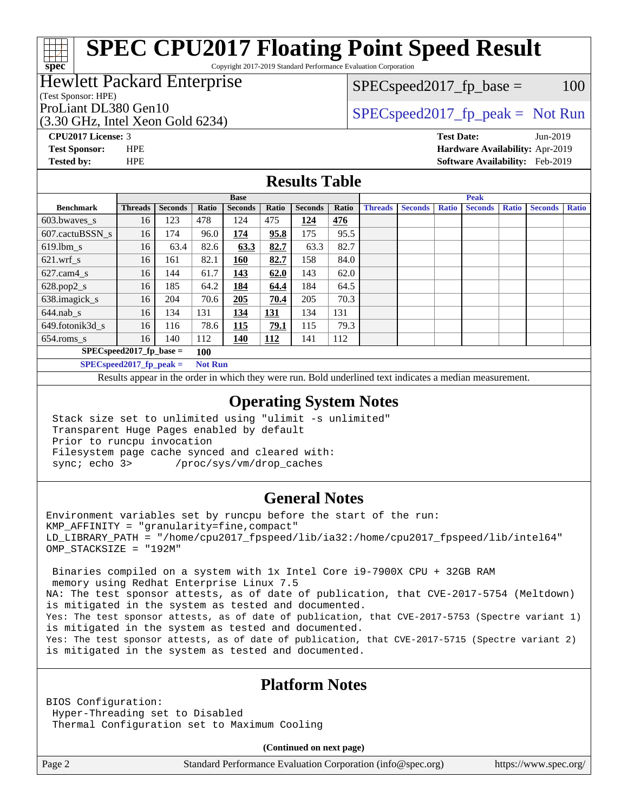# **[SPEC CPU2017 Floating Point Speed Result](http://www.spec.org/auto/cpu2017/Docs/result-fields.html#SPECCPU2017FloatingPointSpeedResult)**

Copyright 2017-2019 Standard Performance Evaluation Corporation

#### Hewlett Packard Enterprise

#### (Test Sponsor: HPE)

(3.30 GHz, Intel Xeon Gold 6234)

 $SPEC speed2017_fp\_base = 100$ 

#### ProLiant DL380 Gen10  $SPEC speed2017$  fp\_peak = Not Run

**[spec](http://www.spec.org/)**

**[CPU2017 License:](http://www.spec.org/auto/cpu2017/Docs/result-fields.html#CPU2017License)** 3 **[Test Date:](http://www.spec.org/auto/cpu2017/Docs/result-fields.html#TestDate)** Jun-2019 **[Test Sponsor:](http://www.spec.org/auto/cpu2017/Docs/result-fields.html#TestSponsor)** HPE **[Hardware Availability:](http://www.spec.org/auto/cpu2017/Docs/result-fields.html#HardwareAvailability)** Apr-2019 **[Tested by:](http://www.spec.org/auto/cpu2017/Docs/result-fields.html#Testedby)** HPE **[Software Availability:](http://www.spec.org/auto/cpu2017/Docs/result-fields.html#SoftwareAvailability)** Feb-2019

#### **[Results Table](http://www.spec.org/auto/cpu2017/Docs/result-fields.html#ResultsTable)**

|                                                                                                                                                 | <b>Base</b>    |                |       |                |            |                |       | <b>Peak</b>    |                |              |                |              |                |              |
|-------------------------------------------------------------------------------------------------------------------------------------------------|----------------|----------------|-------|----------------|------------|----------------|-------|----------------|----------------|--------------|----------------|--------------|----------------|--------------|
| <b>Benchmark</b>                                                                                                                                | <b>Threads</b> | <b>Seconds</b> | Ratio | <b>Seconds</b> | Ratio      | <b>Seconds</b> | Ratio | <b>Threads</b> | <b>Seconds</b> | <b>Ratio</b> | <b>Seconds</b> | <b>Ratio</b> | <b>Seconds</b> | <b>Ratio</b> |
| 603.bwayes_s                                                                                                                                    | 16             | 123            | 478   | 124            | 475        | 124            | 476   |                |                |              |                |              |                |              |
| 607.cactuBSSN s                                                                                                                                 | 16             | 174            | 96.0  | 174            | 95.8       | 175            | 95.5  |                |                |              |                |              |                |              |
| $619.$ lbm s                                                                                                                                    | 16             | 63.4           | 82.6  | 63.3           | 82.7       | 63.3           | 82.7  |                |                |              |                |              |                |              |
| $621$ .wrf s                                                                                                                                    | 16             | 161            | 82.1  | 160            | 82.7       | 158            | 84.0  |                |                |              |                |              |                |              |
| $627$ .cam4 s                                                                                                                                   | 16             | 144            | 61.7  | 143            | 62.0       | 143            | 62.0  |                |                |              |                |              |                |              |
| $628.pop2_s$                                                                                                                                    | 16             | 185            | 64.2  | 184            | 64.4       | 184            | 64.5  |                |                |              |                |              |                |              |
| 638.imagick_s                                                                                                                                   | 16             | 204            | 70.6  | 205            | 70.4       | 205            | 70.3  |                |                |              |                |              |                |              |
| $644$ .nab s                                                                                                                                    | 16             | 134            | 131   | 134            | <u>131</u> | 134            | 131   |                |                |              |                |              |                |              |
| 649.fotonik3d s                                                                                                                                 | 16             | 116            | 78.6  | 115            | 79.1       | 115            | 79.3  |                |                |              |                |              |                |              |
| $654$ .roms s                                                                                                                                   | 16             | 140            | 112   | <b>140</b>     | 112        | 141            | 112   |                |                |              |                |              |                |              |
| $SPECspeed2017$ fp base =                                                                                                                       |                | 100            |       |                |            |                |       |                |                |              |                |              |                |              |
| $\mathbb{C}\mathrm{P}\mathrm{E}\mathrm{C}\mathrm{e}\mathrm{e}$ and $\mathbb{C}\mathrm{e}$ and $\mathbb{C}\mathrm{e}$ and $\mathbb{C}\mathrm{e}$ |                | Not Dun        |       |                |            |                |       |                |                |              |                |              |                |              |

**EUspeed2017\_ip\_peak =** 

Results appear in the [order in which they were run.](http://www.spec.org/auto/cpu2017/Docs/result-fields.html#RunOrder) Bold underlined text [indicates a median measurement](http://www.spec.org/auto/cpu2017/Docs/result-fields.html#Median).

#### **[Operating System Notes](http://www.spec.org/auto/cpu2017/Docs/result-fields.html#OperatingSystemNotes)**

 Stack size set to unlimited using "ulimit -s unlimited" Transparent Huge Pages enabled by default Prior to runcpu invocation Filesystem page cache synced and cleared with: sync; echo 3> /proc/sys/vm/drop\_caches

#### **[General Notes](http://www.spec.org/auto/cpu2017/Docs/result-fields.html#GeneralNotes)**

Environment variables set by runcpu before the start of the run:  $KMP$  AFFINITY = "granularity=fine, compact" LD\_LIBRARY\_PATH = "/home/cpu2017\_fpspeed/lib/ia32:/home/cpu2017\_fpspeed/lib/intel64" OMP\_STACKSIZE = "192M"

 Binaries compiled on a system with 1x Intel Core i9-7900X CPU + 32GB RAM memory using Redhat Enterprise Linux 7.5 NA: The test sponsor attests, as of date of publication, that CVE-2017-5754 (Meltdown) is mitigated in the system as tested and documented. Yes: The test sponsor attests, as of date of publication, that CVE-2017-5753 (Spectre variant 1) is mitigated in the system as tested and documented. Yes: The test sponsor attests, as of date of publication, that CVE-2017-5715 (Spectre variant 2) is mitigated in the system as tested and documented.

#### **[Platform Notes](http://www.spec.org/auto/cpu2017/Docs/result-fields.html#PlatformNotes)**

BIOS Configuration: Hyper-Threading set to Disabled Thermal Configuration set to Maximum Cooling

**(Continued on next page)**

Page 2 Standard Performance Evaluation Corporation [\(info@spec.org\)](mailto:info@spec.org) <https://www.spec.org/>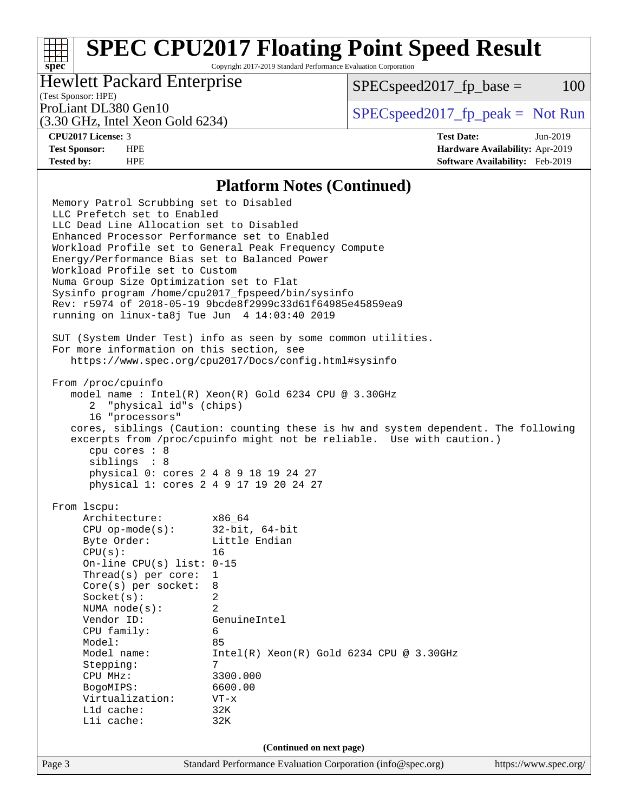# **[SPEC CPU2017 Floating Point Speed Result](http://www.spec.org/auto/cpu2017/Docs/result-fields.html#SPECCPU2017FloatingPointSpeedResult)**

Copyright 2017-2019 Standard Performance Evaluation Corporation

#### Hewlett Packard Enterprise

 $SPEC speed2017<sub>fp</sub> base =  $100$$ 

## (Test Sponsor: HPE)

(3.30 GHz, Intel Xeon Gold 6234)

ProLiant DL380 Gen10  $SPEC speed2017$  [p\_peak = Not Run

**[spec](http://www.spec.org/)**

**[CPU2017 License:](http://www.spec.org/auto/cpu2017/Docs/result-fields.html#CPU2017License)** 3 **[Test Date:](http://www.spec.org/auto/cpu2017/Docs/result-fields.html#TestDate)** Jun-2019 **[Test Sponsor:](http://www.spec.org/auto/cpu2017/Docs/result-fields.html#TestSponsor)** HPE **[Hardware Availability:](http://www.spec.org/auto/cpu2017/Docs/result-fields.html#HardwareAvailability)** Apr-2019 **[Tested by:](http://www.spec.org/auto/cpu2017/Docs/result-fields.html#Testedby)** HPE **[Software Availability:](http://www.spec.org/auto/cpu2017/Docs/result-fields.html#SoftwareAvailability)** Feb-2019

#### **[Platform Notes \(Continued\)](http://www.spec.org/auto/cpu2017/Docs/result-fields.html#PlatformNotes)**

Page 3 Standard Performance Evaluation Corporation [\(info@spec.org\)](mailto:info@spec.org) <https://www.spec.org/> Memory Patrol Scrubbing set to Disabled LLC Prefetch set to Enabled LLC Dead Line Allocation set to Disabled Enhanced Processor Performance set to Enabled Workload Profile set to General Peak Frequency Compute Energy/Performance Bias set to Balanced Power Workload Profile set to Custom Numa Group Size Optimization set to Flat Sysinfo program /home/cpu2017\_fpspeed/bin/sysinfo Rev: r5974 of 2018-05-19 9bcde8f2999c33d61f64985e45859ea9 running on linux-ta8j Tue Jun 4 14:03:40 2019 SUT (System Under Test) info as seen by some common utilities. For more information on this section, see <https://www.spec.org/cpu2017/Docs/config.html#sysinfo> From /proc/cpuinfo model name : Intel(R) Xeon(R) Gold 6234 CPU @ 3.30GHz 2 "physical id"s (chips) 16 "processors" cores, siblings (Caution: counting these is hw and system dependent. The following excerpts from /proc/cpuinfo might not be reliable. Use with caution.) cpu cores : 8 siblings : 8 physical 0: cores 2 4 8 9 18 19 24 27 physical 1: cores 2 4 9 17 19 20 24 27 From lscpu: Architecture: x86\_64 CPU op-mode(s): 32-bit, 64-bit Byte Order: Little Endian CPU(s): 16 On-line CPU(s) list: 0-15 Thread(s) per core: 1 Core(s) per socket: 8 Socket(s): 2 NUMA node(s): 2 Vendor ID: GenuineIntel CPU family: 6 Model: 85 Model name: Intel(R) Xeon(R) Gold 6234 CPU @ 3.30GHz Stepping: CPU MHz: 3300.000 BogoMIPS: 6600.00 Virtualization: VT-x L1d cache: 32K L1i cache: 32K **(Continued on next page)**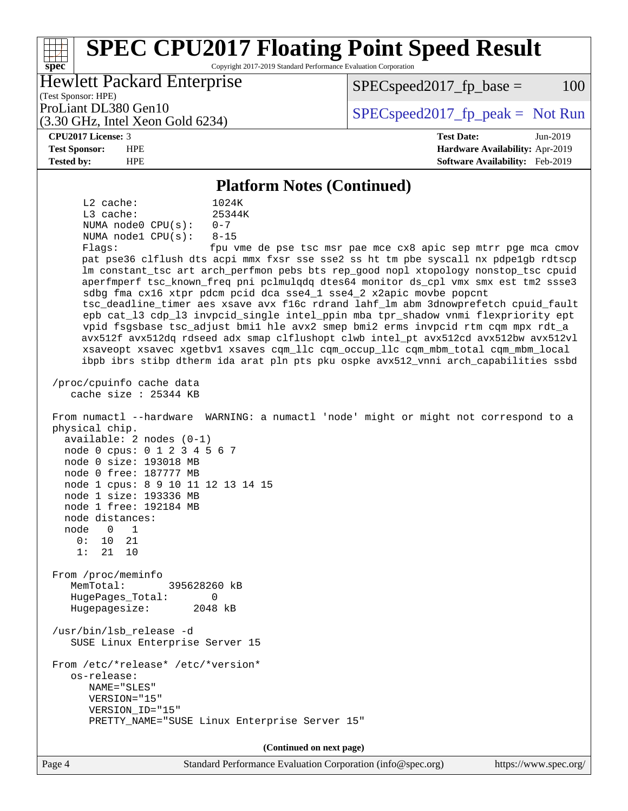#### **[spec](http://www.spec.org/) [SPEC CPU2017 Floating Point Speed Result](http://www.spec.org/auto/cpu2017/Docs/result-fields.html#SPECCPU2017FloatingPointSpeedResult)** Copyright 2017-2019 Standard Performance Evaluation Corporation (Test Sponsor: HPE) Hewlett Packard Enterprise (3.30 GHz, Intel Xeon Gold 6234) ProLiant DL380 Gen10  $SPEC speed2017$  [p\_peak = Not Run  $SPEC speed2017<sub>fp</sub> base =  $100$$ **[CPU2017 License:](http://www.spec.org/auto/cpu2017/Docs/result-fields.html#CPU2017License)** 3 **[Test Date:](http://www.spec.org/auto/cpu2017/Docs/result-fields.html#TestDate)** Jun-2019 **[Test Sponsor:](http://www.spec.org/auto/cpu2017/Docs/result-fields.html#TestSponsor)** HPE **[Hardware Availability:](http://www.spec.org/auto/cpu2017/Docs/result-fields.html#HardwareAvailability)** Apr-2019 **[Tested by:](http://www.spec.org/auto/cpu2017/Docs/result-fields.html#Testedby)** HPE **[Software Availability:](http://www.spec.org/auto/cpu2017/Docs/result-fields.html#SoftwareAvailability)** Feb-2019 **[Platform Notes \(Continued\)](http://www.spec.org/auto/cpu2017/Docs/result-fields.html#PlatformNotes)** L2 cache: 1024K L3 cache:  $25344K$ <br>NUMA node0 CPU(s):  $0-7$ NUMA  $node0$   $CPU(s):$  NUMA node1 CPU(s): 8-15 Flags: fpu vme de pse tsc msr pae mce cx8 apic sep mtrr pge mca cmov pat pse36 clflush dts acpi mmx fxsr sse sse2 ss ht tm pbe syscall nx pdpe1gb rdtscp lm constant\_tsc art arch\_perfmon pebs bts rep\_good nopl xtopology nonstop\_tsc cpuid aperfmperf tsc\_known\_freq pni pclmulqdq dtes64 monitor ds\_cpl vmx smx est tm2 ssse3 sdbg fma cx16 xtpr pdcm pcid dca sse4\_1 sse4\_2 x2apic movbe popcnt tsc\_deadline\_timer aes xsave avx f16c rdrand lahf\_lm abm 3dnowprefetch cpuid\_fault epb cat\_l3 cdp\_l3 invpcid\_single intel\_ppin mba tpr\_shadow vnmi flexpriority ept vpid fsgsbase tsc\_adjust bmi1 hle avx2 smep bmi2 erms invpcid rtm cqm mpx rdt\_a avx512f avx512dq rdseed adx smap clflushopt clwb intel\_pt avx512cd avx512bw avx512vl xsaveopt xsavec xgetbv1 xsaves cqm\_llc cqm\_occup\_llc cqm\_mbm\_total cqm\_mbm\_local ibpb ibrs stibp dtherm ida arat pln pts pku ospke avx512\_vnni arch\_capabilities ssbd /proc/cpuinfo cache data cache size : 25344 KB From numactl --hardware WARNING: a numactl 'node' might or might not correspond to a physical chip. available: 2 nodes (0-1) node 0 cpus: 0 1 2 3 4 5 6 7 node 0 size: 193018 MB node 0 free: 187777 MB node 1 cpus: 8 9 10 11 12 13 14 15 node 1 size: 193336 MB node 1 free: 192184 MB node distances: node 0 1 0: 10 21 1: 21 10 From /proc/meminfo MemTotal: 395628260 kB HugePages\_Total: 0 Hugepagesize: 2048 kB /usr/bin/lsb\_release -d SUSE Linux Enterprise Server 15 From /etc/\*release\* /etc/\*version\* os-release: NAME="SLES" VERSION="15" VERSION\_ID="15" PRETTY\_NAME="SUSE Linux Enterprise Server 15" **(Continued on next page)**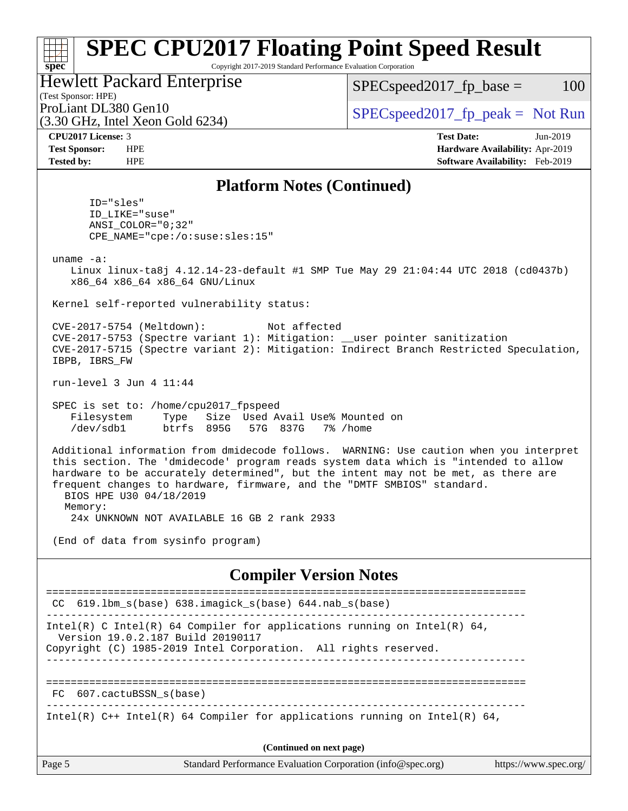#### **[spec](http://www.spec.org/) [SPEC CPU2017 Floating Point Speed Result](http://www.spec.org/auto/cpu2017/Docs/result-fields.html#SPECCPU2017FloatingPointSpeedResult)** Copyright 2017-2019 Standard Performance Evaluation Corporation (Test Sponsor: HPE) Hawlett Packard Enterprise  $SPEC speed2017<sub>fp</sub> base =  $100$$

|  |                                                                  |  | HUWICH I AUNAIU LIIIUI PHSU |  |  |  |  |  |
|--|------------------------------------------------------------------|--|-----------------------------|--|--|--|--|--|
|  | $(T_{\text{max}} \cap \ldots \cap \ldots \cap \Pi_{\text{max}})$ |  |                             |  |  |  |  |  |

| ProLiant DL380 Gen10                               |
|----------------------------------------------------|
| $(3.30 \text{ GHz}, \text{Intel Xeon Gold } 6234)$ |

 $SPECspeed2017_fp\_peak = Not Run$ 

| <b>CPU2017 License: 3</b> |  |
|---------------------------|--|
|---------------------------|--|

**[CPU2017 License:](http://www.spec.org/auto/cpu2017/Docs/result-fields.html#CPU2017License)** 3 **[Test Date:](http://www.spec.org/auto/cpu2017/Docs/result-fields.html#TestDate)** Jun-2019 **[Test Sponsor:](http://www.spec.org/auto/cpu2017/Docs/result-fields.html#TestSponsor)** HPE **[Hardware Availability:](http://www.spec.org/auto/cpu2017/Docs/result-fields.html#HardwareAvailability)** Apr-2019 **[Tested by:](http://www.spec.org/auto/cpu2017/Docs/result-fields.html#Testedby)** HPE **[Software Availability:](http://www.spec.org/auto/cpu2017/Docs/result-fields.html#SoftwareAvailability)** Feb-2019

#### **[Platform Notes \(Continued\)](http://www.spec.org/auto/cpu2017/Docs/result-fields.html#PlatformNotes)**

 ID="sles" ID\_LIKE="suse" ANSI\_COLOR="0;32" CPE\_NAME="cpe:/o:suse:sles:15"

uname -a:

 Linux linux-ta8j 4.12.14-23-default #1 SMP Tue May 29 21:04:44 UTC 2018 (cd0437b) x86\_64 x86\_64 x86\_64 GNU/Linux

Kernel self-reported vulnerability status:

 CVE-2017-5754 (Meltdown): Not affected CVE-2017-5753 (Spectre variant 1): Mitigation: \_\_user pointer sanitization CVE-2017-5715 (Spectre variant 2): Mitigation: Indirect Branch Restricted Speculation, IBPB, IBRS\_FW

run-level 3 Jun 4 11:44

 SPEC is set to: /home/cpu2017\_fpspeed Filesystem Type Size Used Avail Use% Mounted on /dev/sdb1 btrfs 895G 57G 837G 7% /home

 Additional information from dmidecode follows. WARNING: Use caution when you interpret this section. The 'dmidecode' program reads system data which is "intended to allow hardware to be accurately determined", but the intent may not be met, as there are frequent changes to hardware, firmware, and the "DMTF SMBIOS" standard. BIOS HPE U30 04/18/2019 Memory:

24x UNKNOWN NOT AVAILABLE 16 GB 2 rank 2933

(End of data from sysinfo program)

#### **[Compiler Version Notes](http://www.spec.org/auto/cpu2017/Docs/result-fields.html#CompilerVersionNotes)**

| Page 5                   | Standard Performance Evaluation Corporation (info@spec.org)                                                                                                                      | https://www.spec.org/ |  |  |  |  |
|--------------------------|----------------------------------------------------------------------------------------------------------------------------------------------------------------------------------|-----------------------|--|--|--|--|
| (Continued on next page) |                                                                                                                                                                                  |                       |  |  |  |  |
|                          | Intel(R) $C++$ Intel(R) 64 Compiler for applications running on Intel(R) 64,                                                                                                     |                       |  |  |  |  |
| FC                       | 607.cactuBSSN s(base)                                                                                                                                                            |                       |  |  |  |  |
|                          |                                                                                                                                                                                  |                       |  |  |  |  |
|                          | Intel(R) C Intel(R) 64 Compiler for applications running on Intel(R) 64,<br>Version 19.0.2.187 Build 20190117<br>Copyright (C) 1985-2019 Intel Corporation. All rights reserved. |                       |  |  |  |  |
|                          | CC $619.1$ bm s(base) $638.i$ magick s(base) $644.nab$ s(base)                                                                                                                   |                       |  |  |  |  |
|                          |                                                                                                                                                                                  |                       |  |  |  |  |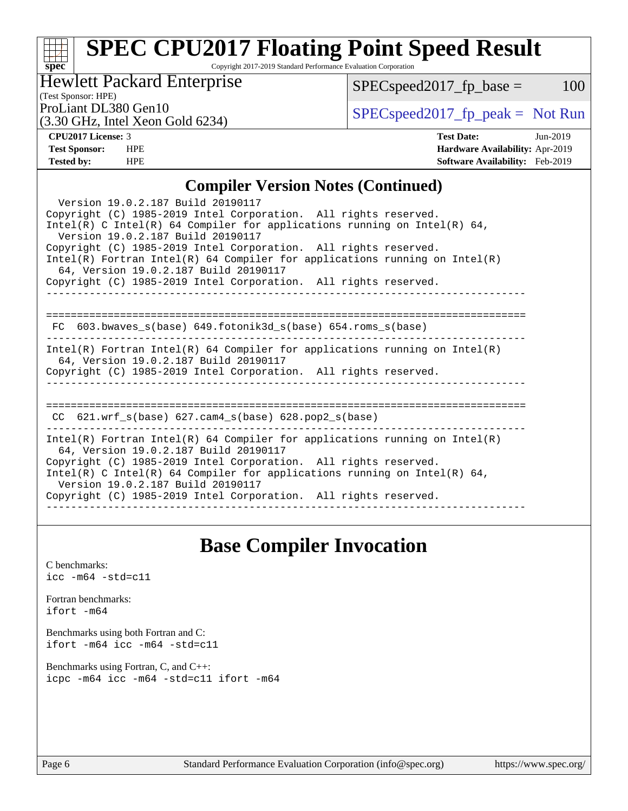### **[spec](http://www.spec.org/) [SPEC CPU2017 Floating Point Speed Result](http://www.spec.org/auto/cpu2017/Docs/result-fields.html#SPECCPU2017FloatingPointSpeedResult)**

Copyright 2017-2019 Standard Performance Evaluation Corporation

### Hewlett Packard Enterprise

 $SPEC speed2017_fp\_base = 100$ 

## (Test Sponsor: HPE)

(3.30 GHz, Intel Xeon Gold 6234)

ProLiant DL380 Gen10<br>  $SPECspeed2017<sub>fp</sub> peak = Not Run$ <br>  $SPECspeed2017<sub>fp</sub> peak = Not Run$ 

**[CPU2017 License:](http://www.spec.org/auto/cpu2017/Docs/result-fields.html#CPU2017License)** 3 **[Test Date:](http://www.spec.org/auto/cpu2017/Docs/result-fields.html#TestDate)** Jun-2019 **[Test Sponsor:](http://www.spec.org/auto/cpu2017/Docs/result-fields.html#TestSponsor)** HPE **[Hardware Availability:](http://www.spec.org/auto/cpu2017/Docs/result-fields.html#HardwareAvailability)** Apr-2019 **[Tested by:](http://www.spec.org/auto/cpu2017/Docs/result-fields.html#Testedby)** HPE **[Software Availability:](http://www.spec.org/auto/cpu2017/Docs/result-fields.html#SoftwareAvailability)** Feb-2019

#### **[Compiler Version Notes \(Continued\)](http://www.spec.org/auto/cpu2017/Docs/result-fields.html#CompilerVersionNotes)**

| Version 19.0.2.187 Build 20190117<br>Copyright (C) 1985-2019 Intel Corporation. All rights reserved.<br>Intel(R) C Intel(R) 64 Compiler for applications running on Intel(R) 64,<br>Version 19.0.2.187 Build 20190117<br>Copyright (C) 1985-2019 Intel Corporation. All rights reserved.<br>Intel(R) Fortran Intel(R) 64 Compiler for applications running on Intel(R)<br>64, Version 19.0.2.187 Build 20190117<br>Copyright (C) 1985-2019 Intel Corporation. All rights reserved. |
|------------------------------------------------------------------------------------------------------------------------------------------------------------------------------------------------------------------------------------------------------------------------------------------------------------------------------------------------------------------------------------------------------------------------------------------------------------------------------------|
| $FC 603.bwaves_s(base) 649.fotonik3d_s(base) 654.roms_s(base)$                                                                                                                                                                                                                                                                                                                                                                                                                     |
| $Intel(R)$ Fortran Intel(R) 64 Compiler for applications running on Intel(R)<br>64, Version 19.0.2.187 Build 20190117<br>Copyright (C) 1985-2019 Intel Corporation. All rights reserved.<br>--------------------                                                                                                                                                                                                                                                                   |
| CC $621.wrf s(base) 627.cam4 s(base) 628.pop2 s(base)$                                                                                                                                                                                                                                                                                                                                                                                                                             |
| Intel(R) Fortran Intel(R) 64 Compiler for applications running on Intel(R)<br>64, Version 19.0.2.187 Build 20190117<br>Copyright (C) 1985-2019 Intel Corporation. All rights reserved.<br>Intel(R) C Intel(R) 64 Compiler for applications running on Intel(R) 64,<br>Version 19.0.2.187 Build 20190117<br>Copyright (C) 1985-2019 Intel Corporation. All rights reserved.                                                                                                         |

## **[Base Compiler Invocation](http://www.spec.org/auto/cpu2017/Docs/result-fields.html#BaseCompilerInvocation)**

[C benchmarks](http://www.spec.org/auto/cpu2017/Docs/result-fields.html#Cbenchmarks): [icc -m64 -std=c11](http://www.spec.org/cpu2017/results/res2019q3/cpu2017-20190624-15593.flags.html#user_CCbase_intel_icc_64bit_c11_33ee0cdaae7deeeab2a9725423ba97205ce30f63b9926c2519791662299b76a0318f32ddfffdc46587804de3178b4f9328c46fa7c2b0cd779d7a61945c91cd35)

[Fortran benchmarks](http://www.spec.org/auto/cpu2017/Docs/result-fields.html#Fortranbenchmarks): [ifort -m64](http://www.spec.org/cpu2017/results/res2019q3/cpu2017-20190624-15593.flags.html#user_FCbase_intel_ifort_64bit_24f2bb282fbaeffd6157abe4f878425411749daecae9a33200eee2bee2fe76f3b89351d69a8130dd5949958ce389cf37ff59a95e7a40d588e8d3a57e0c3fd751)

[Benchmarks using both Fortran and C](http://www.spec.org/auto/cpu2017/Docs/result-fields.html#BenchmarksusingbothFortranandC): [ifort -m64](http://www.spec.org/cpu2017/results/res2019q3/cpu2017-20190624-15593.flags.html#user_CC_FCbase_intel_ifort_64bit_24f2bb282fbaeffd6157abe4f878425411749daecae9a33200eee2bee2fe76f3b89351d69a8130dd5949958ce389cf37ff59a95e7a40d588e8d3a57e0c3fd751) [icc -m64 -std=c11](http://www.spec.org/cpu2017/results/res2019q3/cpu2017-20190624-15593.flags.html#user_CC_FCbase_intel_icc_64bit_c11_33ee0cdaae7deeeab2a9725423ba97205ce30f63b9926c2519791662299b76a0318f32ddfffdc46587804de3178b4f9328c46fa7c2b0cd779d7a61945c91cd35)

[Benchmarks using Fortran, C, and C++:](http://www.spec.org/auto/cpu2017/Docs/result-fields.html#BenchmarksusingFortranCandCXX) [icpc -m64](http://www.spec.org/cpu2017/results/res2019q3/cpu2017-20190624-15593.flags.html#user_CC_CXX_FCbase_intel_icpc_64bit_4ecb2543ae3f1412ef961e0650ca070fec7b7afdcd6ed48761b84423119d1bf6bdf5cad15b44d48e7256388bc77273b966e5eb805aefd121eb22e9299b2ec9d9) [icc -m64 -std=c11](http://www.spec.org/cpu2017/results/res2019q3/cpu2017-20190624-15593.flags.html#user_CC_CXX_FCbase_intel_icc_64bit_c11_33ee0cdaae7deeeab2a9725423ba97205ce30f63b9926c2519791662299b76a0318f32ddfffdc46587804de3178b4f9328c46fa7c2b0cd779d7a61945c91cd35) [ifort -m64](http://www.spec.org/cpu2017/results/res2019q3/cpu2017-20190624-15593.flags.html#user_CC_CXX_FCbase_intel_ifort_64bit_24f2bb282fbaeffd6157abe4f878425411749daecae9a33200eee2bee2fe76f3b89351d69a8130dd5949958ce389cf37ff59a95e7a40d588e8d3a57e0c3fd751)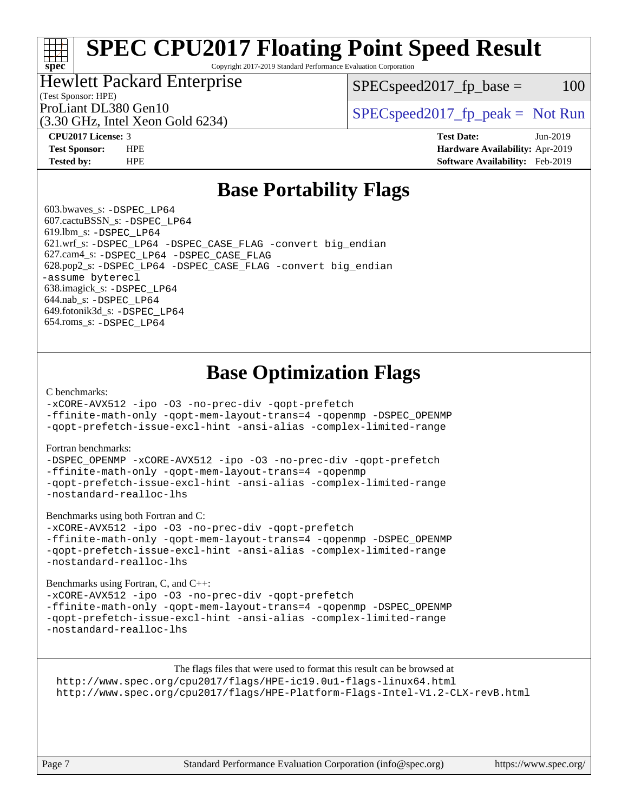# **[SPEC CPU2017 Floating Point Speed Result](http://www.spec.org/auto/cpu2017/Docs/result-fields.html#SPECCPU2017FloatingPointSpeedResult)**

Copyright 2017-2019 Standard Performance Evaluation Corporation

#### Hewlett Packard Enterprise

 $SPEC speed2017<sub>fp</sub> base =  $100$$ 

## (Test Sponsor: HPE)

(3.30 GHz, Intel Xeon Gold 6234)

ProLiant DL380 Gen10  $SPEC speed2017$  [p\_peak = Not Run

**[spec](http://www.spec.org/)**

**[CPU2017 License:](http://www.spec.org/auto/cpu2017/Docs/result-fields.html#CPU2017License)** 3 **[Test Date:](http://www.spec.org/auto/cpu2017/Docs/result-fields.html#TestDate)** Jun-2019 **[Test Sponsor:](http://www.spec.org/auto/cpu2017/Docs/result-fields.html#TestSponsor)** HPE **[Hardware Availability:](http://www.spec.org/auto/cpu2017/Docs/result-fields.html#HardwareAvailability)** Apr-2019 **[Tested by:](http://www.spec.org/auto/cpu2017/Docs/result-fields.html#Testedby)** HPE **[Software Availability:](http://www.spec.org/auto/cpu2017/Docs/result-fields.html#SoftwareAvailability)** Feb-2019

## **[Base Portability Flags](http://www.spec.org/auto/cpu2017/Docs/result-fields.html#BasePortabilityFlags)**

 603.bwaves\_s: [-DSPEC\\_LP64](http://www.spec.org/cpu2017/results/res2019q3/cpu2017-20190624-15593.flags.html#suite_basePORTABILITY603_bwaves_s_DSPEC_LP64) 607.cactuBSSN\_s: [-DSPEC\\_LP64](http://www.spec.org/cpu2017/results/res2019q3/cpu2017-20190624-15593.flags.html#suite_basePORTABILITY607_cactuBSSN_s_DSPEC_LP64) 619.lbm\_s: [-DSPEC\\_LP64](http://www.spec.org/cpu2017/results/res2019q3/cpu2017-20190624-15593.flags.html#suite_basePORTABILITY619_lbm_s_DSPEC_LP64) 621.wrf\_s: [-DSPEC\\_LP64](http://www.spec.org/cpu2017/results/res2019q3/cpu2017-20190624-15593.flags.html#suite_basePORTABILITY621_wrf_s_DSPEC_LP64) [-DSPEC\\_CASE\\_FLAG](http://www.spec.org/cpu2017/results/res2019q3/cpu2017-20190624-15593.flags.html#b621.wrf_s_baseCPORTABILITY_DSPEC_CASE_FLAG) [-convert big\\_endian](http://www.spec.org/cpu2017/results/res2019q3/cpu2017-20190624-15593.flags.html#user_baseFPORTABILITY621_wrf_s_convert_big_endian_c3194028bc08c63ac5d04de18c48ce6d347e4e562e8892b8bdbdc0214820426deb8554edfa529a3fb25a586e65a3d812c835984020483e7e73212c4d31a38223) 627.cam4\_s: [-DSPEC\\_LP64](http://www.spec.org/cpu2017/results/res2019q3/cpu2017-20190624-15593.flags.html#suite_basePORTABILITY627_cam4_s_DSPEC_LP64) [-DSPEC\\_CASE\\_FLAG](http://www.spec.org/cpu2017/results/res2019q3/cpu2017-20190624-15593.flags.html#b627.cam4_s_baseCPORTABILITY_DSPEC_CASE_FLAG) 628.pop2\_s: [-DSPEC\\_LP64](http://www.spec.org/cpu2017/results/res2019q3/cpu2017-20190624-15593.flags.html#suite_basePORTABILITY628_pop2_s_DSPEC_LP64) [-DSPEC\\_CASE\\_FLAG](http://www.spec.org/cpu2017/results/res2019q3/cpu2017-20190624-15593.flags.html#b628.pop2_s_baseCPORTABILITY_DSPEC_CASE_FLAG) [-convert big\\_endian](http://www.spec.org/cpu2017/results/res2019q3/cpu2017-20190624-15593.flags.html#user_baseFPORTABILITY628_pop2_s_convert_big_endian_c3194028bc08c63ac5d04de18c48ce6d347e4e562e8892b8bdbdc0214820426deb8554edfa529a3fb25a586e65a3d812c835984020483e7e73212c4d31a38223) [-assume byterecl](http://www.spec.org/cpu2017/results/res2019q3/cpu2017-20190624-15593.flags.html#user_baseFPORTABILITY628_pop2_s_assume_byterecl_7e47d18b9513cf18525430bbf0f2177aa9bf368bc7a059c09b2c06a34b53bd3447c950d3f8d6c70e3faf3a05c8557d66a5798b567902e8849adc142926523472) 638.imagick\_s: [-DSPEC\\_LP64](http://www.spec.org/cpu2017/results/res2019q3/cpu2017-20190624-15593.flags.html#suite_basePORTABILITY638_imagick_s_DSPEC_LP64) 644.nab\_s: [-DSPEC\\_LP64](http://www.spec.org/cpu2017/results/res2019q3/cpu2017-20190624-15593.flags.html#suite_basePORTABILITY644_nab_s_DSPEC_LP64) 649.fotonik3d\_s: [-DSPEC\\_LP64](http://www.spec.org/cpu2017/results/res2019q3/cpu2017-20190624-15593.flags.html#suite_basePORTABILITY649_fotonik3d_s_DSPEC_LP64) 654.roms\_s: [-DSPEC\\_LP64](http://www.spec.org/cpu2017/results/res2019q3/cpu2017-20190624-15593.flags.html#suite_basePORTABILITY654_roms_s_DSPEC_LP64)

## **[Base Optimization Flags](http://www.spec.org/auto/cpu2017/Docs/result-fields.html#BaseOptimizationFlags)**

#### [C benchmarks](http://www.spec.org/auto/cpu2017/Docs/result-fields.html#Cbenchmarks):

[-xCORE-AVX512](http://www.spec.org/cpu2017/results/res2019q3/cpu2017-20190624-15593.flags.html#user_CCbase_f-xCORE-AVX512) [-ipo](http://www.spec.org/cpu2017/results/res2019q3/cpu2017-20190624-15593.flags.html#user_CCbase_f-ipo) [-O3](http://www.spec.org/cpu2017/results/res2019q3/cpu2017-20190624-15593.flags.html#user_CCbase_f-O3) [-no-prec-div](http://www.spec.org/cpu2017/results/res2019q3/cpu2017-20190624-15593.flags.html#user_CCbase_f-no-prec-div) [-qopt-prefetch](http://www.spec.org/cpu2017/results/res2019q3/cpu2017-20190624-15593.flags.html#user_CCbase_f-qopt-prefetch)

[-ffinite-math-only](http://www.spec.org/cpu2017/results/res2019q3/cpu2017-20190624-15593.flags.html#user_CCbase_f_finite_math_only_cb91587bd2077682c4b38af759c288ed7c732db004271a9512da14a4f8007909a5f1427ecbf1a0fb78ff2a814402c6114ac565ca162485bbcae155b5e4258871) [-qopt-mem-layout-trans=4](http://www.spec.org/cpu2017/results/res2019q3/cpu2017-20190624-15593.flags.html#user_CCbase_f-qopt-mem-layout-trans_fa39e755916c150a61361b7846f310bcdf6f04e385ef281cadf3647acec3f0ae266d1a1d22d972a7087a248fd4e6ca390a3634700869573d231a252c784941a8) [-qopenmp](http://www.spec.org/cpu2017/results/res2019q3/cpu2017-20190624-15593.flags.html#user_CCbase_qopenmp_16be0c44f24f464004c6784a7acb94aca937f053568ce72f94b139a11c7c168634a55f6653758ddd83bcf7b8463e8028bb0b48b77bcddc6b78d5d95bb1df2967) [-DSPEC\\_OPENMP](http://www.spec.org/cpu2017/results/res2019q3/cpu2017-20190624-15593.flags.html#suite_CCbase_DSPEC_OPENMP) [-qopt-prefetch-issue-excl-hint](http://www.spec.org/cpu2017/results/res2019q3/cpu2017-20190624-15593.flags.html#user_CCbase_f-qopt-prefetch-issue-excl-hint) [-ansi-alias](http://www.spec.org/cpu2017/results/res2019q3/cpu2017-20190624-15593.flags.html#user_CCbase_f-ansi-alias) [-complex-limited-range](http://www.spec.org/cpu2017/results/res2019q3/cpu2017-20190624-15593.flags.html#user_CCbase_f-complex-limited-range)

#### [Fortran benchmarks](http://www.spec.org/auto/cpu2017/Docs/result-fields.html#Fortranbenchmarks):

[-DSPEC\\_OPENMP](http://www.spec.org/cpu2017/results/res2019q3/cpu2017-20190624-15593.flags.html#suite_FCbase_DSPEC_OPENMP) [-xCORE-AVX512](http://www.spec.org/cpu2017/results/res2019q3/cpu2017-20190624-15593.flags.html#user_FCbase_f-xCORE-AVX512) [-ipo](http://www.spec.org/cpu2017/results/res2019q3/cpu2017-20190624-15593.flags.html#user_FCbase_f-ipo) [-O3](http://www.spec.org/cpu2017/results/res2019q3/cpu2017-20190624-15593.flags.html#user_FCbase_f-O3) [-no-prec-div](http://www.spec.org/cpu2017/results/res2019q3/cpu2017-20190624-15593.flags.html#user_FCbase_f-no-prec-div) [-qopt-prefetch](http://www.spec.org/cpu2017/results/res2019q3/cpu2017-20190624-15593.flags.html#user_FCbase_f-qopt-prefetch) [-ffinite-math-only](http://www.spec.org/cpu2017/results/res2019q3/cpu2017-20190624-15593.flags.html#user_FCbase_f_finite_math_only_cb91587bd2077682c4b38af759c288ed7c732db004271a9512da14a4f8007909a5f1427ecbf1a0fb78ff2a814402c6114ac565ca162485bbcae155b5e4258871) [-qopt-mem-layout-trans=4](http://www.spec.org/cpu2017/results/res2019q3/cpu2017-20190624-15593.flags.html#user_FCbase_f-qopt-mem-layout-trans_fa39e755916c150a61361b7846f310bcdf6f04e385ef281cadf3647acec3f0ae266d1a1d22d972a7087a248fd4e6ca390a3634700869573d231a252c784941a8) [-qopenmp](http://www.spec.org/cpu2017/results/res2019q3/cpu2017-20190624-15593.flags.html#user_FCbase_qopenmp_16be0c44f24f464004c6784a7acb94aca937f053568ce72f94b139a11c7c168634a55f6653758ddd83bcf7b8463e8028bb0b48b77bcddc6b78d5d95bb1df2967) [-qopt-prefetch-issue-excl-hint](http://www.spec.org/cpu2017/results/res2019q3/cpu2017-20190624-15593.flags.html#user_FCbase_f-qopt-prefetch-issue-excl-hint) [-ansi-alias](http://www.spec.org/cpu2017/results/res2019q3/cpu2017-20190624-15593.flags.html#user_FCbase_f-ansi-alias) [-complex-limited-range](http://www.spec.org/cpu2017/results/res2019q3/cpu2017-20190624-15593.flags.html#user_FCbase_f-complex-limited-range) [-nostandard-realloc-lhs](http://www.spec.org/cpu2017/results/res2019q3/cpu2017-20190624-15593.flags.html#user_FCbase_f_2003_std_realloc_82b4557e90729c0f113870c07e44d33d6f5a304b4f63d4c15d2d0f1fab99f5daaed73bdb9275d9ae411527f28b936061aa8b9c8f2d63842963b95c9dd6426b8a)

[Benchmarks using both Fortran and C](http://www.spec.org/auto/cpu2017/Docs/result-fields.html#BenchmarksusingbothFortranandC):

[-xCORE-AVX512](http://www.spec.org/cpu2017/results/res2019q3/cpu2017-20190624-15593.flags.html#user_CC_FCbase_f-xCORE-AVX512) [-ipo](http://www.spec.org/cpu2017/results/res2019q3/cpu2017-20190624-15593.flags.html#user_CC_FCbase_f-ipo) [-O3](http://www.spec.org/cpu2017/results/res2019q3/cpu2017-20190624-15593.flags.html#user_CC_FCbase_f-O3) [-no-prec-div](http://www.spec.org/cpu2017/results/res2019q3/cpu2017-20190624-15593.flags.html#user_CC_FCbase_f-no-prec-div) [-qopt-prefetch](http://www.spec.org/cpu2017/results/res2019q3/cpu2017-20190624-15593.flags.html#user_CC_FCbase_f-qopt-prefetch) [-ffinite-math-only](http://www.spec.org/cpu2017/results/res2019q3/cpu2017-20190624-15593.flags.html#user_CC_FCbase_f_finite_math_only_cb91587bd2077682c4b38af759c288ed7c732db004271a9512da14a4f8007909a5f1427ecbf1a0fb78ff2a814402c6114ac565ca162485bbcae155b5e4258871) [-qopt-mem-layout-trans=4](http://www.spec.org/cpu2017/results/res2019q3/cpu2017-20190624-15593.flags.html#user_CC_FCbase_f-qopt-mem-layout-trans_fa39e755916c150a61361b7846f310bcdf6f04e385ef281cadf3647acec3f0ae266d1a1d22d972a7087a248fd4e6ca390a3634700869573d231a252c784941a8) [-qopenmp](http://www.spec.org/cpu2017/results/res2019q3/cpu2017-20190624-15593.flags.html#user_CC_FCbase_qopenmp_16be0c44f24f464004c6784a7acb94aca937f053568ce72f94b139a11c7c168634a55f6653758ddd83bcf7b8463e8028bb0b48b77bcddc6b78d5d95bb1df2967) [-DSPEC\\_OPENMP](http://www.spec.org/cpu2017/results/res2019q3/cpu2017-20190624-15593.flags.html#suite_CC_FCbase_DSPEC_OPENMP) [-qopt-prefetch-issue-excl-hint](http://www.spec.org/cpu2017/results/res2019q3/cpu2017-20190624-15593.flags.html#user_CC_FCbase_f-qopt-prefetch-issue-excl-hint) [-ansi-alias](http://www.spec.org/cpu2017/results/res2019q3/cpu2017-20190624-15593.flags.html#user_CC_FCbase_f-ansi-alias) [-complex-limited-range](http://www.spec.org/cpu2017/results/res2019q3/cpu2017-20190624-15593.flags.html#user_CC_FCbase_f-complex-limited-range) [-nostandard-realloc-lhs](http://www.spec.org/cpu2017/results/res2019q3/cpu2017-20190624-15593.flags.html#user_CC_FCbase_f_2003_std_realloc_82b4557e90729c0f113870c07e44d33d6f5a304b4f63d4c15d2d0f1fab99f5daaed73bdb9275d9ae411527f28b936061aa8b9c8f2d63842963b95c9dd6426b8a)

[Benchmarks using Fortran, C, and C++:](http://www.spec.org/auto/cpu2017/Docs/result-fields.html#BenchmarksusingFortranCandCXX)

[-xCORE-AVX512](http://www.spec.org/cpu2017/results/res2019q3/cpu2017-20190624-15593.flags.html#user_CC_CXX_FCbase_f-xCORE-AVX512) [-ipo](http://www.spec.org/cpu2017/results/res2019q3/cpu2017-20190624-15593.flags.html#user_CC_CXX_FCbase_f-ipo) [-O3](http://www.spec.org/cpu2017/results/res2019q3/cpu2017-20190624-15593.flags.html#user_CC_CXX_FCbase_f-O3) [-no-prec-div](http://www.spec.org/cpu2017/results/res2019q3/cpu2017-20190624-15593.flags.html#user_CC_CXX_FCbase_f-no-prec-div) [-qopt-prefetch](http://www.spec.org/cpu2017/results/res2019q3/cpu2017-20190624-15593.flags.html#user_CC_CXX_FCbase_f-qopt-prefetch) [-ffinite-math-only](http://www.spec.org/cpu2017/results/res2019q3/cpu2017-20190624-15593.flags.html#user_CC_CXX_FCbase_f_finite_math_only_cb91587bd2077682c4b38af759c288ed7c732db004271a9512da14a4f8007909a5f1427ecbf1a0fb78ff2a814402c6114ac565ca162485bbcae155b5e4258871) [-qopt-mem-layout-trans=4](http://www.spec.org/cpu2017/results/res2019q3/cpu2017-20190624-15593.flags.html#user_CC_CXX_FCbase_f-qopt-mem-layout-trans_fa39e755916c150a61361b7846f310bcdf6f04e385ef281cadf3647acec3f0ae266d1a1d22d972a7087a248fd4e6ca390a3634700869573d231a252c784941a8) [-qopenmp](http://www.spec.org/cpu2017/results/res2019q3/cpu2017-20190624-15593.flags.html#user_CC_CXX_FCbase_qopenmp_16be0c44f24f464004c6784a7acb94aca937f053568ce72f94b139a11c7c168634a55f6653758ddd83bcf7b8463e8028bb0b48b77bcddc6b78d5d95bb1df2967) [-DSPEC\\_OPENMP](http://www.spec.org/cpu2017/results/res2019q3/cpu2017-20190624-15593.flags.html#suite_CC_CXX_FCbase_DSPEC_OPENMP) [-qopt-prefetch-issue-excl-hint](http://www.spec.org/cpu2017/results/res2019q3/cpu2017-20190624-15593.flags.html#user_CC_CXX_FCbase_f-qopt-prefetch-issue-excl-hint) [-ansi-alias](http://www.spec.org/cpu2017/results/res2019q3/cpu2017-20190624-15593.flags.html#user_CC_CXX_FCbase_f-ansi-alias) [-complex-limited-range](http://www.spec.org/cpu2017/results/res2019q3/cpu2017-20190624-15593.flags.html#user_CC_CXX_FCbase_f-complex-limited-range) [-nostandard-realloc-lhs](http://www.spec.org/cpu2017/results/res2019q3/cpu2017-20190624-15593.flags.html#user_CC_CXX_FCbase_f_2003_std_realloc_82b4557e90729c0f113870c07e44d33d6f5a304b4f63d4c15d2d0f1fab99f5daaed73bdb9275d9ae411527f28b936061aa8b9c8f2d63842963b95c9dd6426b8a)

The flags files that were used to format this result can be browsed at <http://www.spec.org/cpu2017/flags/HPE-ic19.0u1-flags-linux64.html> <http://www.spec.org/cpu2017/flags/HPE-Platform-Flags-Intel-V1.2-CLX-revB.html>